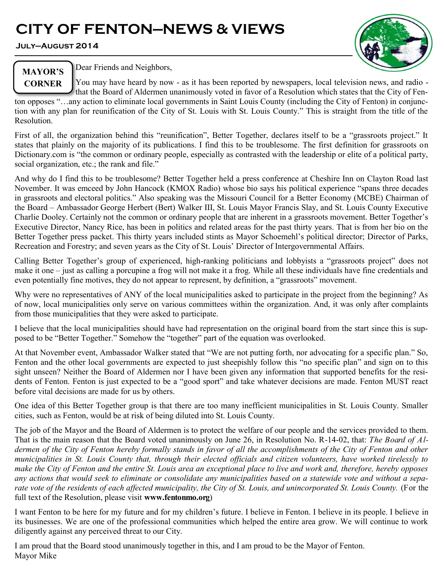# **CITY OF FENTON—NEWS & VIEWS**

**July—August 2014**



**MAYOR'S CORNER** Dear Friends and Neighbors,

You may have heard by now - as it has been reported by newspapers, local television news, and radio that the Board of Aldermen unanimously voted in favor of a Resolution which states that the City of Fen-

ton opposes "…any action to eliminate local governments in Saint Louis County (including the City of Fenton) in conjunction with any plan for reunification of the City of St. Louis with St. Louis County." This is straight from the title of the Resolution.

First of all, the organization behind this "reunification", Better Together, declares itself to be a "grassroots project." It states that plainly on the majority of its publications. I find this to be troublesome. The first definition for grassroots on Dictionary.com is "the common or ordinary people, especially as contrasted with the leadership or elite of a political party, social organization, etc.; the rank and file."

And why do I find this to be troublesome? Better Together held a press conference at Cheshire Inn on Clayton Road last November. It was emceed by John Hancock (KMOX Radio) whose bio says his political experience "spans three decades in grassroots and electoral politics." Also speaking was the Missouri Council for a Better Economy (MCBE) Chairman of the Board – Ambassador George Herbert (Bert) Walker III, St. Louis Mayor Francis Slay, and St. Louis County Executive Charlie Dooley. Certainly not the common or ordinary people that are inherent in a grassroots movement. Better Together's Executive Director, Nancy Rice, has been in politics and related areas for the past thirty years. That is from her bio on the Better Together press packet. This thirty years included stints as Mayor Schoemehl's political director; Director of Parks, Recreation and Forestry; and seven years as the City of St. Louis' Director of Intergovernmental Affairs.

Calling Better Together's group of experienced, high-ranking politicians and lobbyists a "grassroots project" does not make it one – just as calling a porcupine a frog will not make it a frog. While all these individuals have fine credentials and even potentially fine motives, they do not appear to represent, by definition, a "grassroots" movement.

Why were no representatives of ANY of the local municipalities asked to participate in the project from the beginning? As of now, local municipalities only serve on various committees within the organization. And, it was only after complaints from those municipalities that they were asked to participate.

I believe that the local municipalities should have had representation on the original board from the start since this is supposed to be "Better Together." Somehow the "together" part of the equation was overlooked.

At that November event, Ambassador Walker stated that "We are not putting forth, nor advocating for a specific plan." So, Fenton and the other local governments are expected to just sheepishly follow this "no specific plan" and sign on to this sight unseen? Neither the Board of Aldermen nor I have been given any information that supported benefits for the residents of Fenton. Fenton is just expected to be a "good sport" and take whatever decisions are made. Fenton MUST react before vital decisions are made for us by others.

One idea of this Better Together group is that there are too many inefficient municipalities in St. Louis County. Smaller cities, such as Fenton, would be at risk of being diluted into St. Louis County.

The job of the Mayor and the Board of Aldermen is to protect the welfare of our people and the services provided to them. That is the main reason that the Board voted unanimously on June 26, in Resolution No. R-14-02, that: *The Board of Aldermen of the City of Fenton hereby formally stands in favor of all the accomplishments of the City of Fenton and other municipalities in St. Louis County that, through their elected officials and citizen volunteers, have worked tirelessly to make the City of Fenton and the entire St. Louis area an exceptional place to live and work and, therefore, hereby opposes any actions that would seek to eliminate or consolidate any municipalities based on a statewide vote and without a sepa*rate vote of the residents of each affected municipality, the City of St. Louis, and unincorporated St. Louis County. (For the full text of the Resolution, please visit **www.fentonmo.org**)

I want Fenton to be here for my future and for my children's future. I believe in Fenton. I believe in its people. I believe in its businesses. We are one of the professional communities which helped the entire area grow. We will continue to work diligently against any perceived threat to our City.

I am proud that the Board stood unanimously together in this, and I am proud to be the Mayor of Fenton. Mayor Mike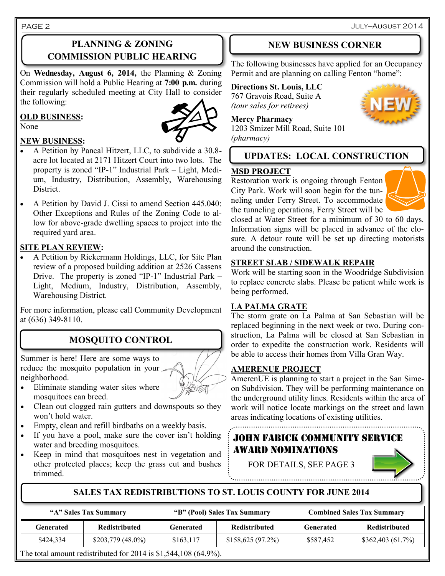July—August 2014

# **PLANNING & ZONING COMMISSION PUBLIC HEARING**

On **Wednesday, August 6, 2014,** the Planning & Zoning Commission will hold a Public Hearing at **7:00 p.m.** during their regularly scheduled meeting at City Hall to consider the following:

#### **OLD BUSINESS:**



**NEW BUSINESS:**

- A Petition by Pancal Hitzert, LLC, to subdivide a 30.8 acre lot located at 2171 Hitzert Court into two lots. The property is zoned "IP-1" Industrial Park – Light, Medium, Industry, Distribution, Assembly, Warehousing District.
- A Petition by David J. Cissi to amend Section 445.040: Other Exceptions and Rules of the Zoning Code to allow for above-grade dwelling spaces to project into the required yard area.

#### **SITE PLAN REVIEW:**

 A Petition by Rickermann Holdings, LLC, for Site Plan review of a proposed building addition at 2526 Cassens Drive. The property is zoned "IP-1" Industrial Park – Light, Medium, Industry, Distribution, Assembly, Warehousing District.

For more information, please call Community Development at (636) 349-8110.

# **MOSQUITO CONTROL**

Summer is here! Here are some ways to reduce the mosquito population in your neighborhood.

- Eliminate standing water sites where mosquitoes can breed.
- Clean out clogged rain gutters and downspouts so they won't hold water.
- Empty, clean and refill birdbaths on a weekly basis.
- If you have a pool, make sure the cover isn't holding water and breeding mosquitoes.
- Keep in mind that mosquitoes nest in vegetation and other protected places; keep the grass cut and bushes trimmed.

# **NEW BUSINESS CORNER**

The following businesses have applied for an Occupancy Permit and are planning on calling Fenton "home":

# **Directions St. Louis, LLC**

767 Gravois Road, Suite A *(tour sales for retirees)*

**Mercy Pharmacy**

1203 Smizer Mill Road, Suite 101 *(pharmacy)*

# **UPDATES: LOCAL CONSTRUCTION**

#### **MSD PROJECT**

Restoration work is ongoing through Fenton City Park. Work will soon begin for the tunneling under Ferry Street. To accommodate the tunneling operations, Ferry Street will be



closed at Water Street for a minimum of 30 to 60 days. Information signs will be placed in advance of the closure. A detour route will be set up directing motorists around the construction.

#### **STREET SLAB / SIDEWALK REPAIR**

Work will be starting soon in the Woodridge Subdivision to replace concrete slabs. Please be patient while work is being performed.

### **LA PALMA GRATE**

The storm grate on La Palma at San Sebastian will be replaced beginning in the next week or two. During construction, La Palma will be closed at San Sebastian in order to expedite the construction work. Residents will be able to access their homes from Villa Gran Way.

# **AMERENUE PROJECT**

AmerenUE is planning to start a project in the San Simeon Subdivision. They will be performing maintenance on the underground utility lines. Residents within the area of work will notice locate markings on the street and lawn areas indicating locations of existing utilities.

# HN FABICK COMMUNITY SERVICE AWARD NOMINATIONS

FOR DETAILS, SEE PAGE 3



# **SALES TAX REDISTRIBUTIONS TO ST. LOUIS COUNTY FOR JUNE 2014**

| "A" Sales Tax Summary |                                                                           | "B" (Pool) Sales Tax Summary |                      | <b>Combined Sales Tax Summary</b> |                      |
|-----------------------|---------------------------------------------------------------------------|------------------------------|----------------------|-----------------------------------|----------------------|
| Generated             | <b>Redistributed</b>                                                      | Generated                    | <b>Redistributed</b> | Generated                         | <b>Redistributed</b> |
| \$424,334             | $$203,779$ (48.0%)                                                        | \$163,117                    | \$158,625(97.2%)     | \$587,452                         | \$362,403(61.7%)     |
| $-1$ $-1$             | $\mathbf{r}$ is the second and the fill and $\mathbf{r}$ and $\mathbf{r}$ |                              |                      |                                   |                      |

The total amount redistributed for 2014 is \$1,544,108 (64.9%).



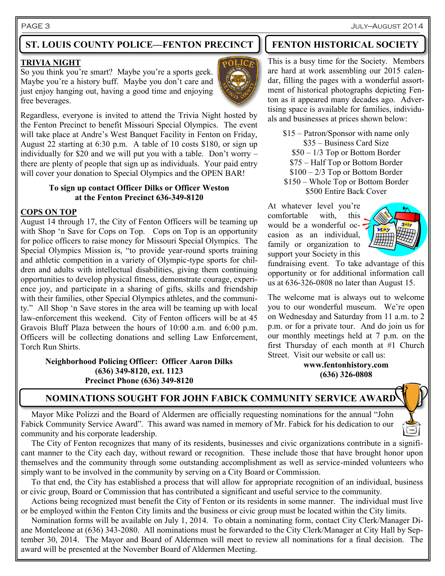#### PAGE 3 July—August 2014

# **ST. LOUIS COUNTY POLICE—FENTON PRECINCT FENTON HISTORICAL SOCIETY**

#### **TRIVIA NIGHT**

So you think you're smart? Maybe you're a sports geek. Maybe you're a history buff. Maybe you don't care and just enjoy hanging out, having a good time and enjoying free beverages.

Regardless, everyone is invited to attend the Trivia Night hosted by the Fenton Precinct to benefit Missouri Special Olympics. The event will take place at Andre's West Banquet Facility in Fenton on Friday, August 22 starting at 6:30 p.m. A table of 10 costs \$180, or sign up individually for \$20 and we will put you with a table. Don't worry – there are plenty of people that sign up as individuals. Your paid entry will cover your donation to Special Olympics and the OPEN BAR!

#### **To sign up contact Officer Dilks or Officer Weston at the Fenton Precinct 636-349-8120**

#### **COPS ON TOP**

August 14 through 17, the City of Fenton Officers will be teaming up with Shop 'n Save for Cops on Top. Cops on Top is an opportunity for police officers to raise money for Missouri Special Olympics. The Special Olympics Mission is, "to provide year-round sports training and athletic competition in a variety of Olympic-type sports for children and adults with intellectual disabilities, giving them continuing opportunities to develop physical fitness, demonstrate courage, experience joy, and participate in a sharing of gifts, skills and friendship with their families, other Special Olympics athletes, and the community." All Shop 'n Save stores in the area will be teaming up with local law-enforcement this weekend. City of Fenton officers will be at 45 Gravois Bluff Plaza between the hours of 10:00 a.m. and 6:00 p.m. Officers will be collecting donations and selling Law Enforcement, Torch Run Shirts.

> **Neighborhood Policing Officer: Officer Aaron Dilks (636) 349-8120, ext. 1123 Precinct Phone (636) 349-8120**



This is a busy time for the Society. Members are hard at work assembling our 2015 calendar, filling the pages with a wonderful assortment of historical photographs depicting Fenton as it appeared many decades ago. Advertising space is available for families, individuals and businesses at prices shown below:

\$15 – Patron/Sponsor with name only \$35 – Business Card Size \$50 – 1/3 Top or Bottom Border \$75 – Half Top or Bottom Border \$100 – 2/3 Top or Bottom Border \$150 – Whole Top or Bottom Border \$500 Entire Back Cover

At whatever level you're comfortable with, this would be a wonderful occasion as an individual, family or organization to support your Society in this



fundraising event. To take advantage of this opportunity or for additional information call us at 636-326-0808 no later than August 15.

The welcome mat is always out to welcome you to our wonderful museum. We're open on Wednesday and Saturday from 11 a.m. to 2 p.m. or for a private tour. And do join us for our monthly meetings held at 7 p.m. on the first Thursday of each month at #1 Church Street. Visit our website or call us:

> **www.fentonhistory.com (636) 326-0808**

# **NOMINATIONS SOUGHT FOR JOHN FABICK COMMUNITY SERVICE AWARD**

 Mayor Mike Polizzi and the Board of Aldermen are officially requesting nominations for the annual "John Fabick Community Service Award". This award was named in memory of Mr. Fabick for his dedication to our community and his corporate leadership.

 The City of Fenton recognizes that many of its residents, businesses and civic organizations contribute in a significant manner to the City each day, without reward or recognition. These include those that have brought honor upon themselves and the community through some outstanding accomplishment as well as service-minded volunteers who simply want to be involved in the community by serving on a City Board or Commission.

 To that end, the City has established a process that will allow for appropriate recognition of an individual, business or civic group, Board or Commission that has contributed a significant and useful service to the community.

 Actions being recognized must benefit the City of Fenton or its residents in some manner. The individual must live or be employed within the Fenton City limits and the business or civic group must be located within the City limits.

 Nomination forms will be available on July 1, 2014. To obtain a nominating form, contact City Clerk/Manager Diane Monteleone at (636) 343-2080. All nominations must be forwarded to the City Clerk/Manager at City Hall by September 30, 2014. The Mayor and Board of Aldermen will meet to review all nominations for a final decision. The award will be presented at the November Board of Aldermen Meeting.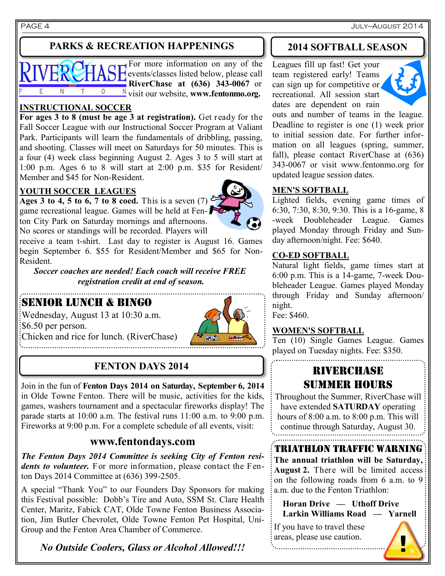# **PARKS & RECREATION HAPPENINGS**



For more information on any of the events/classes listed below, please call **RiverChase at (636) 343-0067** or visit our website, **www.fentonmo.org.**

### **INSTRUCTIONAL SOCCER**

**For ages 3 to 8 (must be age 3 at registration).** Get ready for the Fall Soccer League with our Instructional Soccer Program at Valiant Park. Participants will learn the fundamentals of dribbling, passing, and shooting. Classes will meet on Saturdays for 50 minutes. This is a four (4) week class beginning August 2. Ages 3 to 5 will start at 1:00 p.m. Ages 6 to 8 will start at 2:00 p.m. \$35 for Resident/ Member and \$45 for Non-Resident.

### **YOUTH SOCCER LEAGUES**

Ages 3 to 4, 5 to 6, 7 to 8 coed. This is a seven (7)  $\delta$ game recreational league. Games will be held at Fenton City Park on Saturday mornings and afternoons. No scores or standings will be recorded. Players will



receive a team t-shirt. Last day to register is August 16. Games begin September 6. \$55 for Resident/Member and \$65 for Non-Resident.

*Soccer coaches are needed! Each coach will receive FREE registration credit at end of season.*

# SENIOR LUNCH & BINGO

Wednesday, August 13 at 10:30 a.m.  $\frac{1}{5}$ \$6.50 per person. Chicken and rice for lunch. (RiverChase)



# **FENTON DAYS 2014**

Join in the fun of **Fenton Days 2014 on Saturday, September 6, 2014** in Olde Towne Fenton. There will be music, activities for the kids, games, washers tournament and a spectacular fireworks display! The parade starts at 10:00 a.m. The festival runs 11:00 a.m. to 9:00 p.m. Fireworks at 9:00 p.m. For a complete schedule of all events, visit:

# **www.fentondays.com**

*The Fenton Days 2014 Committee is seeking City of Fenton residents to volunteer.* For more information, please contact the Fenton Days 2014 Committee at (636) 399-2505.

A special "Thank You" to our Founders Day Sponsors for making this Festival possible: Dobb's Tire and Auto, SSM St. Clare Health Center, Maritz, Fabick CAT, Olde Towne Fenton Business Association, Jim Butler Chevrolet, Olde Towne Fenton Pet Hospital, Uni-Group and the Fenton Area Chamber of Commerce.

*No Outside Coolers, Glass or Alcohol Allowed!!!*

# **2014 SOFTBALL SEASON**

Leagues fill up fast! Get your team registered early! Teams can sign up for competitive or recreational. All session start dates are dependent on rain



outs and number of teams in the league. Deadline to register is one (1) week prior to initial session date. For further information on all leagues (spring, summer, fall), please contact RiverChase at (636) 343-0067 or visit www.fentonmo.org for updated league session dates.

# **MEN'S SOFTBALL**

Lighted fields, evening game times of 6:30, 7:30, 8:30, 9:30. This is a 16-game, 8 -week Doubleheader League. Games played Monday through Friday and Sunday afternoon/night. Fee: \$640.

#### **CO-ED SOFTBALL**

Natural light fields, game times start at 6:00 p.m. This is a 14-game, 7-week Doubleheader League. Games played Monday through Friday and Sunday afternoon/ night.

Fee: \$460.

### **WOMEN'S SOFTBALL**

Ten (10) Single Games League. Games played on Tuesday nights. Fee: \$350.

# RIVERCHASE SUMMER HOURS

Throughout the Summer, RiverChase will have extended **SATURDAY** operating hours of 8:00 a.m. to 8:00 p.m. This will continue through Saturday, August 30.

# triathlon traffic warning

**The annual triathlon will be Saturday, August 2.** There will be limited access on the following roads from 6 a.m. to 9 a.m. due to the Fenton Triathlon:

 **Horan Drive — Uthoff Drive Larkin Williams Road — Yarnell**

If you have to travel these areas, please use caution.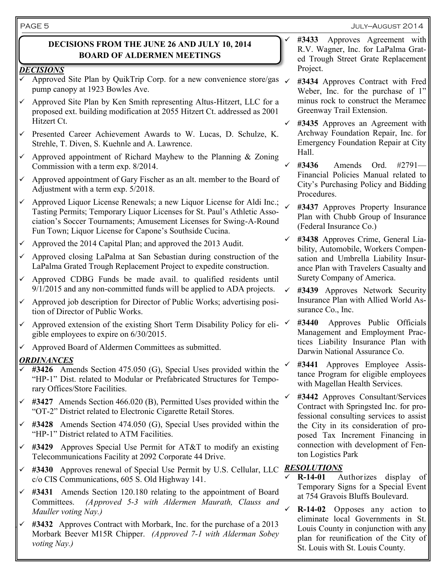#### July—August 2014

### **DECISIONS FROM THE JUNE 26 AND JULY 10, 2014 BOARD OF ALDERMEN MEETINGS**

#### *DECISIONS*

- Approved Site Plan by QuikTrip Corp. for a new convenience store/gas  $\checkmark$ pump canopy at 1923 Bowles Ave.
- Approved Site Plan by Ken Smith representing Altus-Hitzert, LLC for a proposed ext. building modification at 2055 Hitzert Ct. addressed as 2001 Hitzert Ct.
- $\checkmark$  Presented Career Achievement Awards to W. Lucas, D. Schulze, K. Strehle, T. Diven, S. Kuehnle and A. Lawrence.
- $\checkmark$  Approved appointment of Richard Mayhew to the Planning & Zoning Commission with a term exp. 8/2014.
- $\checkmark$  Approved appointment of Gary Fischer as an alt. member to the Board of Adjustment with a term exp. 5/2018.
- Approved Liquor License Renewals; a new Liquor License for Aldi Inc.; Tasting Permits; Temporary Liquor Licenses for St. Paul's Athletic Association's Soccer Tournaments; Amusement Licenses for Swing-A-Round Fun Town; Liquor License for Capone's Southside Cucina.
- Approved the 2014 Capital Plan; and approved the 2013 Audit.
- $\checkmark$  Approved closing LaPalma at San Sebastian during construction of the LaPalma Grated Trough Replacement Project to expedite construction.
- $\checkmark$  Approved CDBG Funds be made avail. to qualified residents until 9/1/2015 and any non-committed funds will be applied to ADA projects.
- Approved job description for Director of Public Works; advertising position of Director of Public Works.
- Approved extension of the existing Short Term Disability Policy for eli- $\checkmark$ gible employees to expire on 6/30/2015.
- Approved Board of Aldermen Committees as submitted.

#### *ORDINANCES*

- **#3426** Amends Section 475.050 (G), Special Uses provided within the "HP-1" Dist. related to Modular or Prefabricated Structures for Temporary Offices/Store Facilities.
- **#3427** Amends Section 466.020 (B), Permitted Uses provided within the "OT-2" District related to Electronic Cigarette Retail Stores.
- **#3428** Amends Section 474.050 (G), Special Uses provided within the "HP-1" District related to ATM Facilities.
- **#3429** Approves Special Use Permit for AT&T to modify an existing Telecommunications Facility at 2092 Corporate 44 Drive.
- **#3430** Approves renewal of Special Use Permit by U.S. Cellular, LLC *RESOLUTIONS* c/o CIS Communications, 605 S. Old Highway 141.
- **#3431** Amends Section 120.180 relating to the appointment of Board Committees. *(Approved 5-3 with Aldermen Maurath, Clauss and Mauller voting Nay.)*
- The amount of solution with Morbark, the form of the parents of a 2013 Louis County in conjunction with Morbark Beever M15R Chipper. *(Approved 7-1 with Alderman Sobey* also for reunification of the C **#3432** Approves Contract with Morbark, Inc. for the purchase of a 2013 *voting Nay.)*
- **#3433** Approves Agreement with R.V. Wagner, Inc. for LaPalma Grated Trough Street Grate Replacement Project.
- **#3434** Approves Contract with Fred Weber, Inc. for the purchase of 1" minus rock to construct the Meramec Greenway Trail Extension.
- **#3435** Approves an Agreement with Archway Foundation Repair, Inc. for Emergency Foundation Repair at City Hall.
- **#3436** Amends Ord. #2791— Financial Policies Manual related to City's Purchasing Policy and Bidding Procedures.
	- **#3437** Approves Property Insurance Plan with Chubb Group of Insurance (Federal Insurance Co.)
- **#3438** Approves Crime, General Liability, Automobile, Workers Compensation and Umbrella Liability Insurance Plan with Travelers Casualty and Surety Company of America.
	- **#3439** Approves Network Security Insurance Plan with Allied World Assurance Co., Inc.
	- **#3440** Approves Public Officials Management and Employment Practices Liability Insurance Plan with Darwin National Assurance Co.
- **#3441** Approves Employee Assistance Program for eligible employees with Magellan Health Services.
- **#3442** Approves Consultant/Services Contract with Springsted Inc. for professional consulting services to assist the City in its consideration of proposed Tax Increment Financing in connection with development of Fenton Logistics Park

- **R-14-01** Authorizes display of Temporary Signs for a Special Event at 754 Gravois Bluffs Boulevard.
- **R-14-02** Opposes any action to eliminate local Governments in St. Louis County in conjunction with any plan for reunification of the City of St. Louis with St. Louis County.

PAGE 5